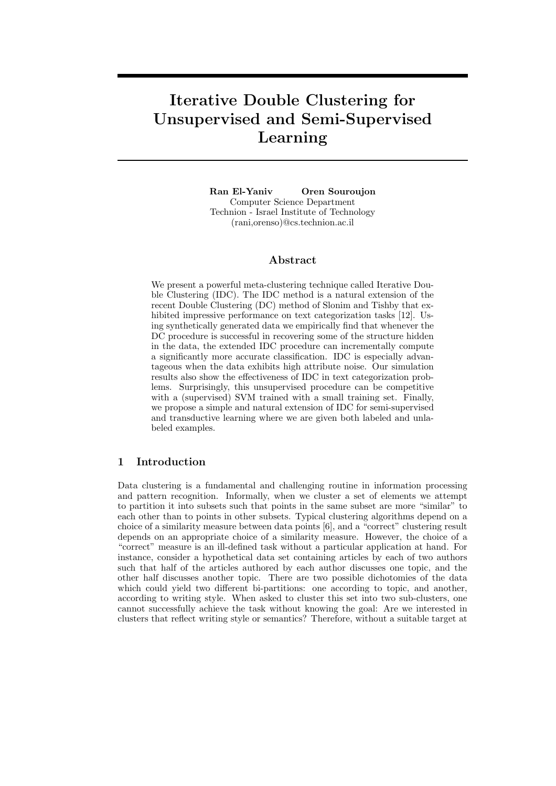# Iterative Double Clustering for Unsupervised and Semi-Supervised Learning

Ran El-Yaniv Oren Souroujon Computer Science Department Technion - Israel Institute of Technology (rani,orenso)@cs.technion.ac.il

## Abstract

We present a powerful meta-clustering technique called Iterative Double Clustering (IDC). The IDC method is a natural extension of the recent Double Clustering (DC) method of Slonim and Tishby that exhibited impressive performance on text categorization tasks [12]. Using synthetically generated data we empirically find that whenever the DC procedure is successful in recovering some of the structure hidden in the data, the extended IDC procedure can incrementally compute a significantly more accurate classification. IDC is especially advantageous when the data exhibits high attribute noise. Our simulation results also show the effectiveness of IDC in text categorization problems. Surprisingly, this unsupervised procedure can be competitive with a (supervised) SVM trained with a small training set. Finally, we propose a simple and natural extension of IDC for semi-supervised and transductive learning where we are given both labeled and unlabeled examples.

## 1 Introduction

Data clustering is a fundamental and challenging routine in information processing and pattern recognition. Informally, when we cluster a set of elements we attempt to partition it into subsets such that points in the same subset are more "similar" to each other than to points in other subsets. Typical clustering algorithms depend on a choice of a similarity measure between data points [6], and a "correct" clustering result depends on an appropriate choice of a similarity measure. However, the choice of a "correct" measure is an ill-defined task without a particular application at hand. For instance, consider a hypothetical data set containing articles by each of two authors such that half of the articles authored by each author discusses one topic, and the other half discusses another topic. There are two possible dichotomies of the data which could yield two different bi-partitions: one according to topic, and another, according to writing style. When asked to cluster this set into two sub-clusters, one cannot successfully achieve the task without knowing the goal: Are we interested in clusters that reflect writing style or semantics? Therefore, without a suitable target at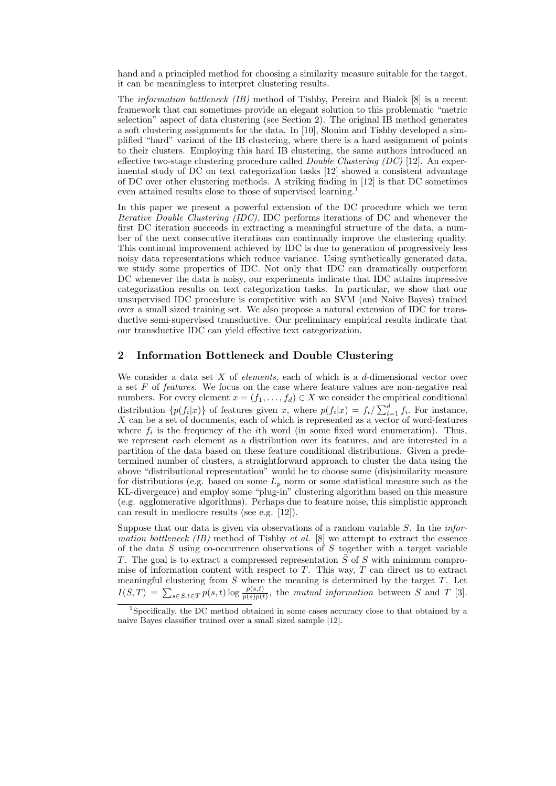hand and a principled method for choosing a similarity measure suitable for the target, it can be meaningless to interpret clustering results.

The information bottleneck (IB) method of Tishby, Pereira and Bialek [8] is a recent framework that can sometimes provide an elegant solution to this problematic "metric selection" aspect of data clustering (see Section 2). The original IB method generates a soft clustering assignments for the data. In [10], Slonim and Tishby developed a simplified "hard" variant of the IB clustering, where there is a hard assignment of points to their clusters. Employing this hard IB clustering, the same authors introduced an effective two-stage clustering procedure called *Double Clustering (DC)* [12]. An experimental study of DC on text categorization tasks [12] showed a consistent advantage of DC over other clustering methods. A striking finding in [12] is that DC sometimes even attained results close to those of supervised learning.<sup>1</sup>

In this paper we present a powerful extension of the DC procedure which we term Iterative Double Clustering (IDC). IDC performs iterations of DC and whenever the first DC iteration succeeds in extracting a meaningful structure of the data, a number of the next consecutive iterations can continually improve the clustering quality. This continual improvement achieved by IDC is due to generation of progressively less noisy data representations which reduce variance. Using synthetically generated data, we study some properties of IDC. Not only that IDC can dramatically outperform DC whenever the data is noisy, our experiments indicate that IDC attains impressive categorization results on text categorization tasks. In particular, we show that our unsupervised IDC procedure is competitive with an SVM (and Naive Bayes) trained over a small sized training set. We also propose a natural extension of IDC for transductive semi-supervised transductive. Our preliminary empirical results indicate that our transductive IDC can yield effective text categorization.

## 2 Information Bottleneck and Double Clustering

We consider a data set X of *elements*, each of which is a d-dimensional vector over a set F of features. We focus on the case where feature values are non-negative real numbers. For every element  $x = (f_1, \ldots, f_d) \in X$  we consider the empirical conditional distribution  $\{p(f_i|x)\}\$  of features given x, where  $p(f_i|x) = f_i / \sum_{i=1}^d f_i$ . For instance, X can be a set of documents, each of which is represented as a vector of word-features where  $f_i$  is the frequency of the *i*th word (in some fixed word enumeration). Thus, we represent each element as a distribution over its features, and are interested in a partition of the data based on these feature conditional distributions. Given a predetermined number of clusters, a straightforward approach to cluster the data using the above "distributional representation" would be to choose some (dis)similarity measure for distributions (e.g. based on some  $L_p$  norm or some statistical measure such as the KL-divergence) and employ some "plug-in" clustering algorithm based on this measure (e.g. agglomerative algorithms). Perhaps due to feature noise, this simplistic approach can result in mediocre results (see e.g. [12]).

Suppose that our data is given via observations of a random variable  $S$ . In the *infor*mation bottleneck (IB) method of Tishby et al.  $[8]$  we attempt to extract the essence of the data  $S$  using co-occurrence observations of  $S$  together with a target variable T. The goal is to extract a compressed representation  $\tilde{S}$  of S with minimum compromise of information content with respect to  $T$ . This way,  $T$  can direct us to extract meaningful clustering from  $S$  where the meaning is determined by the target  $T$ . Let  $I(S,T) = \sum_{s \in S, t \in T} p(s,t) \log \frac{p(s,t)}{p(s)p(t)}$ , the mutual information between S and T [3].

<sup>&</sup>lt;sup>1</sup>Specifically, the DC method obtained in some cases accuracy close to that obtained by a naive Bayes classifier trained over a small sized sample [12].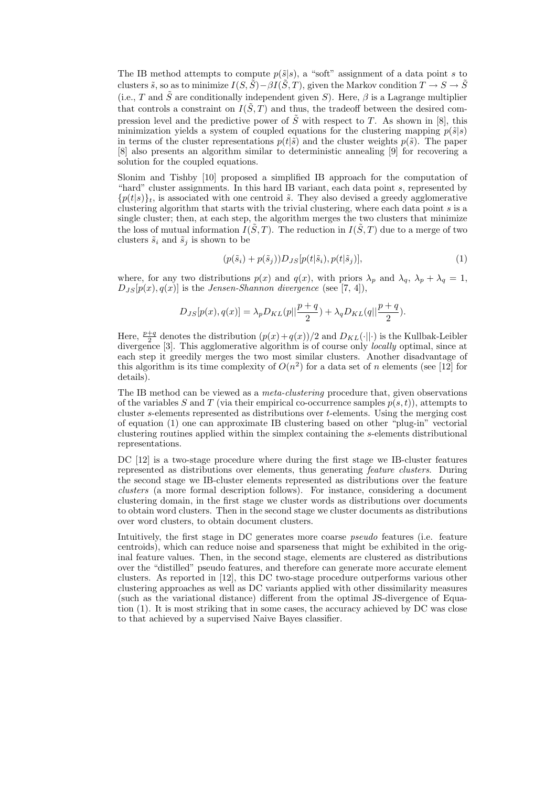The IB method attempts to compute  $p(\tilde{s}|s)$ , a "soft" assignment of a data point s to clusters  $\tilde{s}$ , so as to minimize  $I(S, \tilde{S}) - \beta I(\tilde{S}, T)$ , given the Markov condition  $T \to S \to \tilde{S}$ (i.e., T and  $\tilde{S}$  are conditionally independent given S). Here,  $\beta$  is a Lagrange multiplier that controls a constraint on  $I(\tilde{S}, T)$  and thus, the tradeoff between the desired compression level and the predictive power of  $\tilde{S}$  with respect to T. As shown in [8], this minimization yields a system of coupled equations for the clustering mapping  $p(\tilde{s}|s)$ in terms of the cluster representations  $p(t|\tilde{s})$  and the cluster weights  $p(\tilde{s})$ . The paper [8] also presents an algorithm similar to deterministic annealing [9] for recovering a solution for the coupled equations.

Slonim and Tishby [10] proposed a simplified IB approach for the computation of "hard" cluster assignments. In this hard IB variant, each data point s, represented by  ${p(t|s)}_t$ , is associated with one centroid  $\tilde{s}$ . They also devised a greedy agglomerative clustering algorithm that starts with the trivial clustering, where each data point s is a single cluster; then, at each step, the algorithm merges the two clusters that minimize the loss of mutual information  $I(\tilde{S}, T)$ . The reduction in  $I(\tilde{S}, T)$  due to a merge of two clusters  $\tilde{s}_i$  and  $\tilde{s}_j$  is shown to be

$$
(p(\tilde{s}_i) + p(\tilde{s}_j))D_{JS}[p(t|\tilde{s}_i), p(t|\tilde{s}_j)],
$$
\n(1)

where, for any two distributions  $p(x)$  and  $q(x)$ , with priors  $\lambda_p$  and  $\lambda_q$ ,  $\lambda_p + \lambda_q = 1$ ,  $D_{JS}[p(x), q(x)]$  is the *Jensen-Shannon divergence* (see [7, 4]),

$$
D_{JS}[p(x), q(x)] = \lambda_p D_{KL}(p||\frac{p+q}{2}) + \lambda_q D_{KL}(q||\frac{p+q}{2}).
$$

Here,  $\frac{p+q}{2}$  denotes the distribution  $(p(x)+q(x))/2$  and  $D_{KL}(\cdot||\cdot)$  is the Kullbak-Leibler divergence [3]. This agglomerative algorithm is of course only *locally* optimal, since at each step it greedily merges the two most similar clusters. Another disadvantage of this algorithm is its time complexity of  $O(n^2)$  for a data set of n elements (see [12] for details).

The IB method can be viewed as a meta-clustering procedure that, given observations of the variables S and T (via their empirical co-occurrence samples  $p(s,t)$ ), attempts to cluster s-elements represented as distributions over t-elements. Using the merging cost of equation (1) one can approximate IB clustering based on other "plug-in" vectorial clustering routines applied within the simplex containing the s-elements distributional representations.

DC [12] is a two-stage procedure where during the first stage we IB-cluster features represented as distributions over elements, thus generating feature clusters. During the second stage we IB-cluster elements represented as distributions over the feature clusters (a more formal description follows). For instance, considering a document clustering domain, in the first stage we cluster words as distributions over documents to obtain word clusters. Then in the second stage we cluster documents as distributions over word clusters, to obtain document clusters.

Intuitively, the first stage in DC generates more coarse pseudo features (i.e. feature centroids), which can reduce noise and sparseness that might be exhibited in the original feature values. Then, in the second stage, elements are clustered as distributions over the "distilled" pseudo features, and therefore can generate more accurate element clusters. As reported in [12], this DC two-stage procedure outperforms various other clustering approaches as well as DC variants applied with other dissimilarity measures (such as the variational distance) different from the optimal JS-divergence of Equation (1). It is most striking that in some cases, the accuracy achieved by DC was close to that achieved by a supervised Naive Bayes classifier.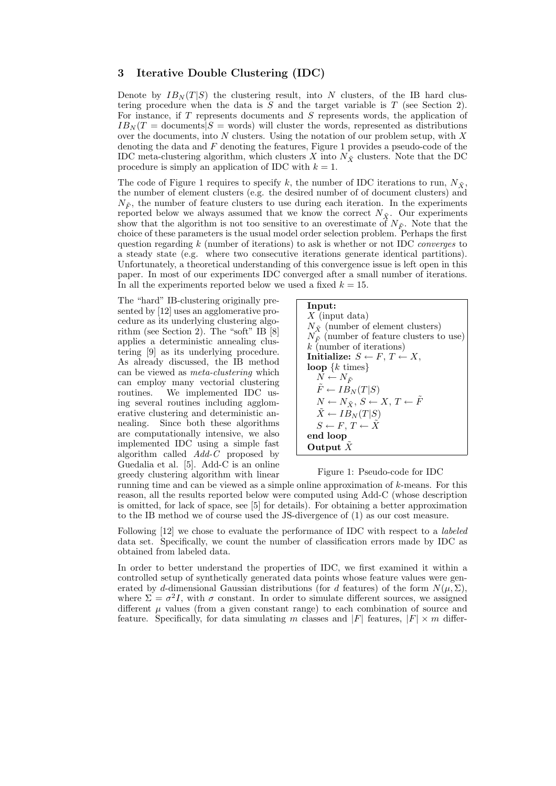# 3 Iterative Double Clustering (IDC)

Denote by  $IB_N(T|S)$  the clustering result, into N clusters, of the IB hard clustering procedure when the data is  $S$  and the target variable is  $T$  (see Section 2). For instance, if T represents documents and S represents words, the application of  $IB_N(T = \text{documents} | S = \text{words})$  will cluster the words, represented as distributions over the documents, into  $N$  clusters. Using the notation of our problem setup, with  $X$ denoting the data and  $F$  denoting the features, Figure 1 provides a pseudo-code of the IDC meta-clustering algorithm, which clusters X into  $N_{\tilde{X}}$  clusters. Note that the DC procedure is simply an application of IDC with  $k = 1$ .

The code of Figure 1 requires to specify k, the number of IDC iterations to run,  $N_{\tilde{X}}$ , the number of element clusters (e.g. the desired number of of document clusters) and  $N_{\tilde{F}}$ , the number of feature clusters to use during each iteration. In the experiments reported below we always assumed that we know the correct  $N_{\tilde{X}}$ . Our experiments show that the algorithm is not too sensitive to an overestimate of  $N_{\tilde{F}}$ . Note that the choice of these parameters is the usual model order selection problem. Perhaps the first question regarding  $k$  (number of iterations) to ask is whether or not IDC *converges* to a steady state (e.g. where two consecutive iterations generate identical partitions). Unfortunately, a theoretical understanding of this convergence issue is left open in this paper. In most of our experiments IDC converged after a small number of iterations. In all the experiments reported below we used a fixed  $k = 15$ .

The "hard" IB-clustering originally presented by [12] uses an agglomerative procedure as its underlying clustering algorithm (see Section 2). The "soft" IB [8] applies a deterministic annealing clustering [9] as its underlying procedure. As already discussed, the IB method can be viewed as meta-clustering which can employ many vectorial clustering routines. We implemented IDC using several routines including agglomerative clustering and deterministic annealing. Since both these algorithms are computationally intensive, we also implemented IDC using a simple fast algorithm called  $Add-C$  proposed by Guedalia et al. [5]. Add-C is an online greedy clustering algorithm with linear

| Input:                                                       |
|--------------------------------------------------------------|
| X (input data)                                               |
| $N_{\tilde{X}}$ (number of element clusters)                 |
| $N_{\tilde{F}}$ (number of feature clusters to use)          |
| $k$ (number of iterations)                                   |
| Initialize: $S \leftarrow F, T \leftarrow X$ ,               |
| loop $\{k \text{ times}\}\$                                  |
| $N \leftarrow N_{\tilde{F}}$                                 |
| $F \leftarrow IB_N(T S)$                                     |
| $N \leftarrow N_{\tilde{Y}}, S \leftarrow X, T \leftarrow F$ |
| $\tilde{X} \leftarrow IB_N(T S)$                             |
| $S \leftarrow F, T \leftarrow \tilde{X}$                     |
| end loop                                                     |
| Output $\tilde{X}$                                           |

#### Figure 1: Pseudo-code for IDC

running time and can be viewed as a simple online approximation of  $k$ -means. For this reason, all the results reported below were computed using Add-C (whose description is omitted, for lack of space, see [5] for details). For obtaining a better approximation to the IB method we of course used the JS-divergence of (1) as our cost measure.

Following [12] we chose to evaluate the performance of IDC with respect to a labeled data set. Specifically, we count the number of classification errors made by IDC as obtained from labeled data.

In order to better understand the properties of IDC, we first examined it within a controlled setup of synthetically generated data points whose feature values were generated by d-dimensional Gaussian distributions (for d features) of the form  $N(\mu, \Sigma)$ , where  $\Sigma = \sigma^2 I$ , with  $\sigma$  constant. In order to simulate different sources, we assigned different  $\mu$  values (from a given constant range) to each combination of source and feature. Specifically, for data simulating m classes and  $|F|$  features,  $|F| \times m$  differ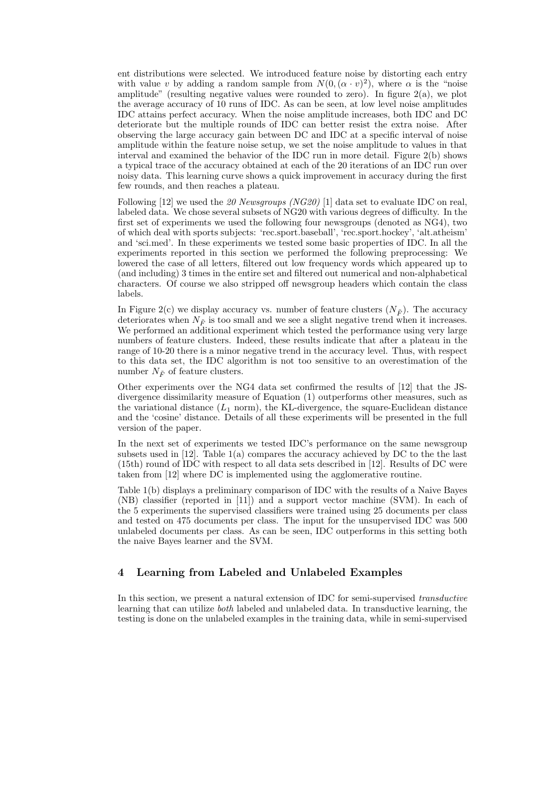ent distributions were selected. We introduced feature noise by distorting each entry with value v by adding a random sample from  $N(0, (\alpha \cdot v)^2)$ , where  $\alpha$  is the "noise amplitude" (resulting negative values were rounded to zero). In figure 2(a), we plot the average accuracy of 10 runs of IDC. As can be seen, at low level noise amplitudes IDC attains perfect accuracy. When the noise amplitude increases, both IDC and DC deteriorate but the multiple rounds of IDC can better resist the extra noise. After observing the large accuracy gain between DC and IDC at a specific interval of noise amplitude within the feature noise setup, we set the noise amplitude to values in that interval and examined the behavior of the IDC run in more detail. Figure 2(b) shows a typical trace of the accuracy obtained at each of the 20 iterations of an IDC run over noisy data. This learning curve shows a quick improvement in accuracy during the first few rounds, and then reaches a plateau.

Following [12] we used the 20 Newsgroups (NG20) [1] data set to evaluate IDC on real, labeled data. We chose several subsets of NG20 with various degrees of difficulty. In the first set of experiments we used the following four newsgroups (denoted as NG4), two of which deal with sports subjects: 'rec.sport.baseball', 'rec.sport.hockey', 'alt.atheism' and 'sci.med'. In these experiments we tested some basic properties of IDC. In all the experiments reported in this section we performed the following preprocessing: We lowered the case of all letters, filtered out low frequency words which appeared up to (and including) 3 times in the entire set and filtered out numerical and non-alphabetical characters. Of course we also stripped off newsgroup headers which contain the class labels.

In Figure 2(c) we display accuracy vs. number of feature clusters  $(N_{\tilde{F}})$ . The accuracy deteriorates when  $N_{\tilde{F}}$  is too small and we see a slight negative trend when it increases. We performed an additional experiment which tested the performance using very large numbers of feature clusters. Indeed, these results indicate that after a plateau in the range of 10-20 there is a minor negative trend in the accuracy level. Thus, with respect to this data set, the IDC algorithm is not too sensitive to an overestimation of the number  $N_{\tilde{F}}$  of feature clusters.

Other experiments over the NG4 data set confirmed the results of [12] that the JSdivergence dissimilarity measure of Equation (1) outperforms other measures, such as the variational distance  $(L_1 \text{ norm})$ , the KL-divergence, the square-Euclidean distance and the 'cosine' distance. Details of all these experiments will be presented in the full version of the paper.

In the next set of experiments we tested IDC's performance on the same newsgroup subsets used in [12]. Table 1(a) compares the accuracy achieved by DC to the the last (15th) round of IDC with respect to all data sets described in [12]. Results of DC were taken from [12] where DC is implemented using the agglomerative routine.

Table 1(b) displays a preliminary comparison of IDC with the results of a Naive Bayes (NB) classifier (reported in [11]) and a support vector machine (SVM). In each of the 5 experiments the supervised classifiers were trained using 25 documents per class and tested on 475 documents per class. The input for the unsupervised IDC was 500 unlabeled documents per class. As can be seen, IDC outperforms in this setting both the naive Bayes learner and the SVM.

# 4 Learning from Labeled and Unlabeled Examples

In this section, we present a natural extension of IDC for semi-supervised transductive learning that can utilize both labeled and unlabeled data. In transductive learning, the testing is done on the unlabeled examples in the training data, while in semi-supervised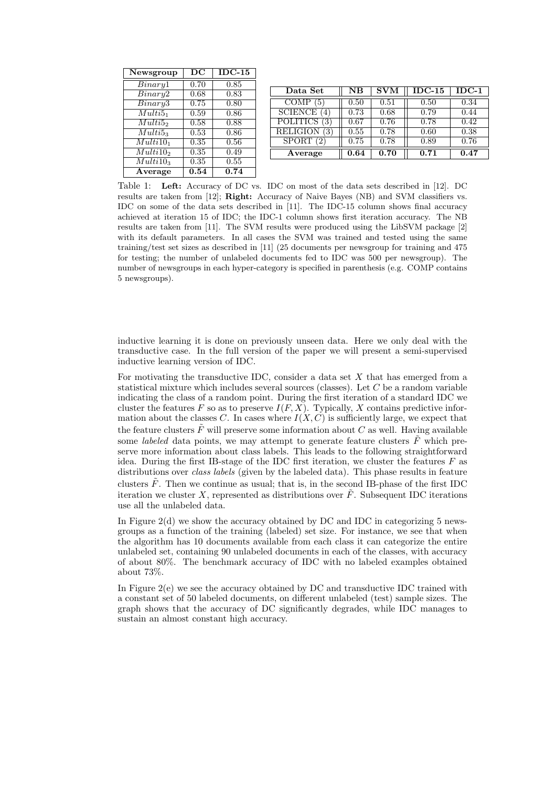| Newsgroup                  | DC                | $IDC-15$ |  |
|----------------------------|-------------------|----------|--|
| $\overline{Binary}1$       | 0.70              | 0.85     |  |
| Binary2                    | 0.68              | 0.83     |  |
| Binary3                    | 0.75              | 0.80     |  |
| Multi5 <sub>1</sub>        | 0.59              | 0.86     |  |
| Multi52                    | 0.58              | 0.88     |  |
| $Multi5_3$                 | 0.53              | 0.86     |  |
| Multi10 <sub>1</sub>       | 0.35              | 0.56     |  |
| Multi10 <sub>2</sub>       | 0.35              | 0.49     |  |
| $\overline{M}$ ulti $10_3$ | 0.35              | 0.55     |  |
| Average                    | $\overline{0.54}$ | 0.74     |  |

| Data Set        | $_{\rm NB}$ | <b>SVM</b> | $IDC-15$ | $IDC-1$ |
|-----------------|-------------|------------|----------|---------|
| <b>COMP</b>     | 0.50        | 0.51       | 0.50     | 0.34    |
| <b>SCIENCE</b>  | 0.73        | 0.68       | 0.79     | 0.44    |
| <b>POLITICS</b> | 0.67        | 0.76       | 0.78     | 0.42    |
| <b>RELIGION</b> | 0.55        | 0.78       | 0.60     | 0.38    |
| <b>SPORT</b>    | 0.75        | 0.78       | 0.89     | 0.76    |
| Average         | 0.64        | 0.70       | 0.71     | 0.47    |

Table 1: Left: Accuracy of DC vs. IDC on most of the data sets described in [12]. DC results are taken from [12]; Right: Accuracy of Naive Bayes (NB) and SVM classifiers vs. IDC on some of the data sets described in [11]. The IDC-15 column shows final accuracy achieved at iteration 15 of IDC; the IDC-1 column shows first iteration accuracy. The NB results are taken from [11]. The SVM results were produced using the LibSVM package [2] with its default parameters. In all cases the SVM was trained and tested using the same training/test set sizes as described in [11] (25 documents per newsgroup for training and 475 for testing; the number of unlabeled documents fed to IDC was 500 per newsgroup). The number of newsgroups in each hyper-category is specified in parenthesis (e.g. COMP contains 5 newsgroups).

inductive learning it is done on previously unseen data. Here we only deal with the transductive case. In the full version of the paper we will present a semi-supervised inductive learning version of IDC.

For motivating the transductive IDC, consider a data set  $X$  that has emerged from a statistical mixture which includes several sources (classes). Let  $C$  be a random variable indicating the class of a random point. During the first iteration of a standard IDC we cluster the features F so as to preserve  $I(F, X)$ . Typically, X contains predictive information about the classes C. In cases where  $I(X, C)$  is sufficiently large, we expect that the feature clusters  $\tilde{F}$  will preserve some information about C as well. Having available some *labeled* data points, we may attempt to generate feature clusters  $\tilde{F}$  which preserve more information about class labels. This leads to the following straightforward idea. During the first IB-stage of the IDC first iteration, we cluster the features  $F$  as distributions over *class labels* (given by the labeled data). This phase results in feature clusters  $\hat{F}$ . Then we continue as usual; that is, in the second IB-phase of the first IDC iteration we cluster X, represented as distributions over  $\tilde{F}$ . Subsequent IDC iterations use all the unlabeled data.

In Figure  $2(d)$  we show the accuracy obtained by DC and IDC in categorizing 5 newsgroups as a function of the training (labeled) set size. For instance, we see that when the algorithm has 10 documents available from each class it can categorize the entire unlabeled set, containing 90 unlabeled documents in each of the classes, with accuracy of about 80%. The benchmark accuracy of IDC with no labeled examples obtained about 73%.

In Figure 2(e) we see the accuracy obtained by DC and transductive IDC trained with a constant set of 50 labeled documents, on different unlabeled (test) sample sizes. The graph shows that the accuracy of DC significantly degrades, while IDC manages to sustain an almost constant high accuracy.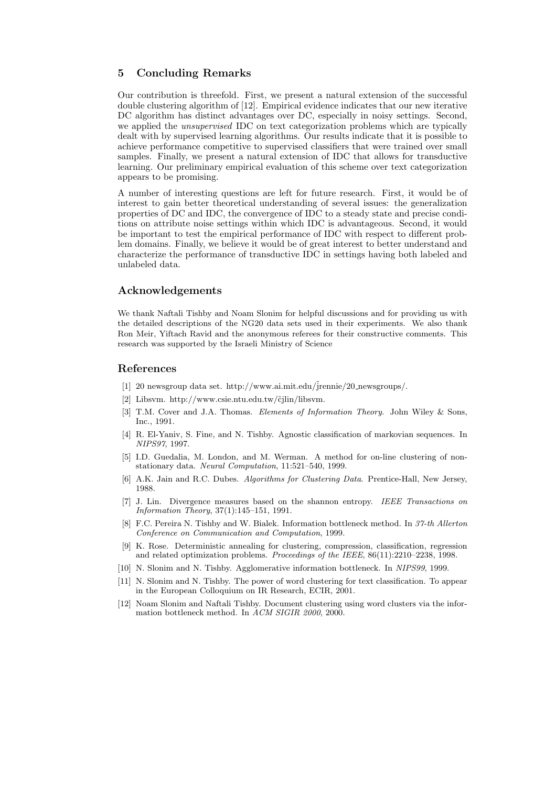# 5 Concluding Remarks

Our contribution is threefold. First, we present a natural extension of the successful double clustering algorithm of [12]. Empirical evidence indicates that our new iterative DC algorithm has distinct advantages over DC, especially in noisy settings. Second, we applied the *unsupervised* IDC on text categorization problems which are typically dealt with by supervised learning algorithms. Our results indicate that it is possible to achieve performance competitive to supervised classifiers that were trained over small samples. Finally, we present a natural extension of IDC that allows for transductive learning. Our preliminary empirical evaluation of this scheme over text categorization appears to be promising.

A number of interesting questions are left for future research. First, it would be of interest to gain better theoretical understanding of several issues: the generalization properties of DC and IDC, the convergence of IDC to a steady state and precise conditions on attribute noise settings within which IDC is advantageous. Second, it would be important to test the empirical performance of IDC with respect to different problem domains. Finally, we believe it would be of great interest to better understand and characterize the performance of transductive IDC in settings having both labeled and unlabeled data.

## Acknowledgements

We thank Naftali Tishby and Noam Slonim for helpful discussions and for providing us with the detailed descriptions of the NG20 data sets used in their experiments. We also thank Ron Meir, Yiftach Ravid and the anonymous referees for their constructive comments. This research was supported by the Israeli Ministry of Science

#### References

- [1] 20 newsgroup data set. http://www.ai.mit.edu/˜jrennie/20 newsgroups/.
- [2] Libsvm. http://www.csie.ntu.edu.tw/čjlin/libsvm.
- [3] T.M. Cover and J.A. Thomas. Elements of Information Theory. John Wiley & Sons, Inc., 1991.
- [4] R. El-Yaniv, S. Fine, and N. Tishby. Agnostic classification of markovian sequences. In NIPS97, 1997.
- [5] I.D. Guedalia, M. London, and M. Werman. A method for on-line clustering of nonstationary data. Neural Computation, 11:521–540, 1999.
- [6] A.K. Jain and R.C. Dubes. Algorithms for Clustering Data. Prentice-Hall, New Jersey, 1988.
- [7] J. Lin. Divergence measures based on the shannon entropy. IEEE Transactions on Information Theory, 37(1):145–151, 1991.
- [8] F.C. Pereira N. Tishby and W. Bialek. Information bottleneck method. In 37-th Allerton Conference on Communication and Computation, 1999.
- [9] K. Rose. Deterministic annealing for clustering, compression, classification, regression and related optimization problems. Proceedings of the IEEE, 86(11):2210–2238, 1998.
- [10] N. Slonim and N. Tishby. Agglomerative information bottleneck. In NIPS99, 1999.
- [11] N. Slonim and N. Tishby. The power of word clustering for text classification. To appear in the European Colloquium on IR Research, ECIR, 2001.
- [12] Noam Slonim and Naftali Tishby. Document clustering using word clusters via the information bottleneck method. In ACM SIGIR 2000, 2000.